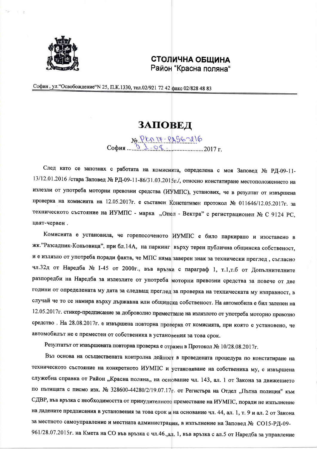

## СТОЛИЧНА ОБЩИНА Район "Красна поляна"

София, ул. "Освобождение" № 25, П.К.1330, тел.02/921 72 42 факс 02/828 48 83

## **ЗАПОВЕД**

No PLA 14-PAS6-216<br>3 \_04.

След като се запознах с работата на комисията, определена с моя Заповед № РД-09-11-13/12.01.2016 /стара Заповед № РД-09-11-86/31.03.2015г./, относно констатиране местоположението на излезли от употреба моторни превозни средства (ИУМПС), установих, че в резултат от извършена проверка на комисията на 12.05.2017г. е съставен Констативен протокол № 011646/12.05.2017г. за техническото състояние на ИУМПС - марка "Опел - Вектра" с регистрационен № С 9124 РС, цвят-червен.

Комисията е установила, че горепосоченото ИУМПС е било паркирано и изоставено в жк."Разсадник-Коньовица", при бл.14А, на паркинг върху терен публична общинска собственост, и е излязло от употреба поради факта, че МПС няма заверен знак за технически преглед, съгласно чл.32д от Наредба № 1-45 от 2000г., във връзка с параграф 1, т.1,т.б от Допълнителните разпоредби на Наредба за излезлите от употреба моторни превозни средства за повече от две години от определената му дата за следващ преглед за проверка на техническата му изправност, в случай че то се намира върху държавна или общинска собственост. На автомобила е бил залепен на 12.05.2017г. стикер-предписание за доброволно преместване на излязлото от употреба моторно превозно средство. На 28.08.2017г. е извършена повторна проверка от комисията, при която е установено, че автомобилът не е преместен от собственика в установения за това срок.

Резултатът от извършената повторна проверка е отразен в Протокол № 10/28.08.2017г.

Въз основа на осъществената контролна дейност в проведената процедура по констатиране на техническото състояние на конкретното ИУМПС и установяване на собственика му, е извършена служебна справка от Район "Красна поляна,, на основание чл. 143, ал. 1 от Закона за движението по пътищата с писмо изх. № 328600-44280/2/19.07.17г. от Регистъра на Отдел "Пътна полиция" към СДВР, във връзка с необходимостта от принудителното преместване на ИУМПС, поради не изпълнение на дадените предписания в установения за това срок и на основание чл. 44, ал. 1, т. 9 и ал. 2 от Закона за местното самоуправление и местната администрация, в изпълнение на Заповед № СО15-РД-09-961/28.07.2015г. на Кмета на СО във връзка с чл.46.,ал. 1, във връзка с ал.5 от Наредба за управление